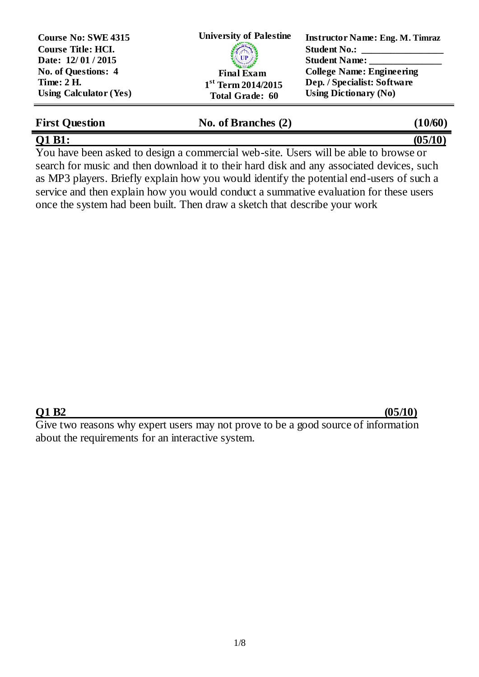| <b>Course No: SWE 4315</b><br><b>Course Title: HCI.</b><br>Date: 12/01/2015<br>No. of Questions: 4<br><b>Time: 2 H.</b><br><b>Using Calculator (Yes)</b> | <b>University of Palestine</b><br><b>LE CONSTANTINO</b><br><b>Final Exam</b><br>$1st$ Term 2014/2015<br><b>Total Grade: 60</b> | <b>Instructor Name: Eng. M. Timraz</b><br><b>Student No.:</b><br><b>Student Name:</b><br><b>College Name: Engineering</b><br>Dep. / Specialist: Software<br><b>Using Dictionary (No)</b> |
|----------------------------------------------------------------------------------------------------------------------------------------------------------|--------------------------------------------------------------------------------------------------------------------------------|------------------------------------------------------------------------------------------------------------------------------------------------------------------------------------------|
|                                                                                                                                                          |                                                                                                                                |                                                                                                                                                                                          |

| <b>First Question</b> | No. of Branches $(2)$                                                                                                                                                                                                                                                                                                                                                                                                        | (10/60) |
|-----------------------|------------------------------------------------------------------------------------------------------------------------------------------------------------------------------------------------------------------------------------------------------------------------------------------------------------------------------------------------------------------------------------------------------------------------------|---------|
| <b>Q1 B1:</b>         |                                                                                                                                                                                                                                                                                                                                                                                                                              | (05/10) |
|                       | You have been asked to design a commercial web-site. Users will be able to browse or                                                                                                                                                                                                                                                                                                                                         |         |
|                       | $\mathbf{r} = \mathbf{r} + \mathbf{r} + \mathbf{r} + \mathbf{r} + \mathbf{r} + \mathbf{r} + \mathbf{r} + \mathbf{r} + \mathbf{r} + \mathbf{r} + \mathbf{r} + \mathbf{r} + \mathbf{r} + \mathbf{r} + \mathbf{r} + \mathbf{r} + \mathbf{r} + \mathbf{r} + \mathbf{r} + \mathbf{r} + \mathbf{r} + \mathbf{r} + \mathbf{r} + \mathbf{r} + \mathbf{r} + \mathbf{r} + \mathbf{r} + \mathbf{r} + \mathbf{r} + \mathbf{r} + \mathbf$ |         |

search for music and then download it to their hard disk and any associated devices, such as MP3 players. Briefly explain how you would identify the potential end-users of such a service and then explain how you would conduct a summative evaluation for these users once the system had been built. Then draw a sketch that describe your work

**Q1 B2 (05/10)**

Give two reasons why expert users may not prove to be a good source of information about the requirements for an interactive system.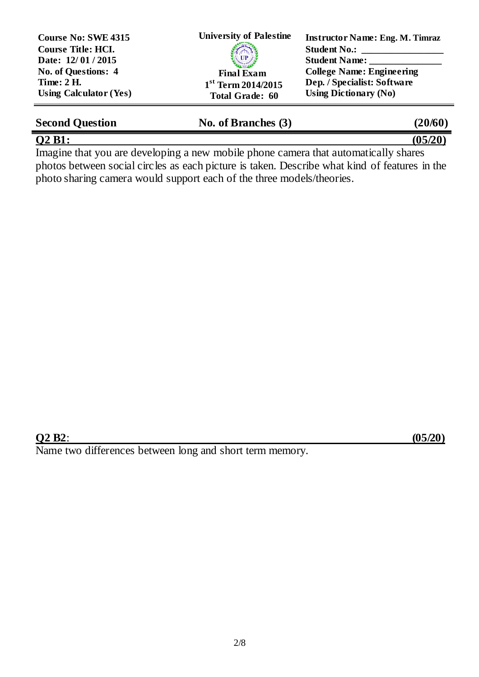| <b>Course No: SWE 4315</b><br><b>Course Title: HCI.</b><br>Date: 12/01/2015<br>No. of Questions: 4<br>Time: 2 H.<br><b>Using Calculator (Yes)</b> | <b>University of Palestine</b><br><b>Final Exam</b><br>$1st$ Term 2014/2015<br><b>Total Grade: 60</b> | <b>Instructor Name: Eng. M. Timraz</b><br><b>Student No.:</b><br><b>Student Name:</b><br><b>College Name: Engineering</b><br>Dep. / Specialist: Software<br><b>Using Dictionary (No)</b> |
|---------------------------------------------------------------------------------------------------------------------------------------------------|-------------------------------------------------------------------------------------------------------|------------------------------------------------------------------------------------------------------------------------------------------------------------------------------------------|
| $\mathbf{C}_{\mathbf{0}}$ and $\mathbf{O}_{\mathbf{0}}$                                                                                           | $N_0$ of Dwanghog $(2)$                                                                               | (20K)                                                                                                                                                                                    |

| <b>Second Question</b> | No. of Branches (3)                                                                 | (20/60) |
|------------------------|-------------------------------------------------------------------------------------|---------|
| <b>O2 B1:</b>          |                                                                                     | (05/20) |
|                        | Imagina that you are developing a new mobile phone camera that automatically shares |         |

Imagine that you are developing a new mobile phone camera that automatically shares photos between social circles as each picture is taken. Describe what kind of features in the photo sharing camera would support each of the three models/theories.

### **Q2 B2**: **(05/20)**

Q2 B2:<br>Name two differences between long and short term memory.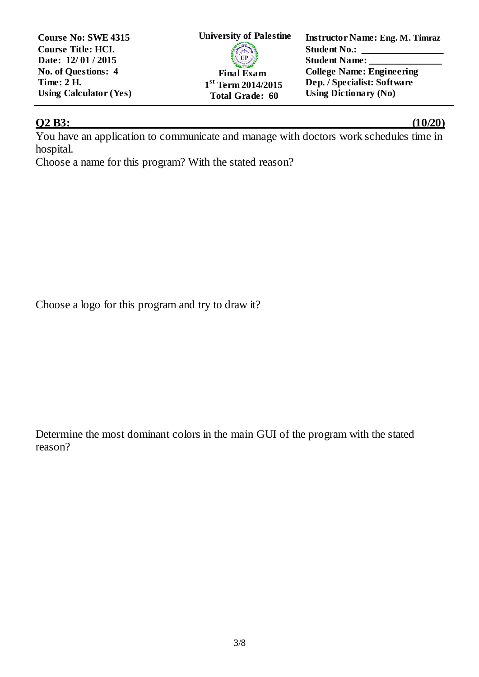| <b>Course No: SWE 4315</b>    | <b>University of Palestine</b>   | <b>Instructor Name: Eng. M. Timraz</b> |
|-------------------------------|----------------------------------|----------------------------------------|
| <b>Course Title: HCI.</b>     |                                  | <b>Student No.:</b>                    |
| Date: 12/01/2015              | <b>UP &amp; SALLARY AND BEAM</b> | <b>Student Name:</b>                   |
| No. of Questions: 4           | <b>Final Exam</b>                | <b>College Name: Engineering</b>       |
| <b>Time: 2 H.</b>             | $1st$ Term 2014/2015             | Dep. / Specialist: Software            |
| <b>Using Calculator (Yes)</b> | <b>Total Grade: 60</b>           | Using Dictionary $(N0)$                |

## **Q2 B3: (10/20)**

You have an application to communicate and manage with doctors work schedules time in hospital.

Choose a name for this program? With the stated reason?

Choose a logo for this program and try to draw it?

Determine the most dominant colors in the main GUI of the program with the stated reason?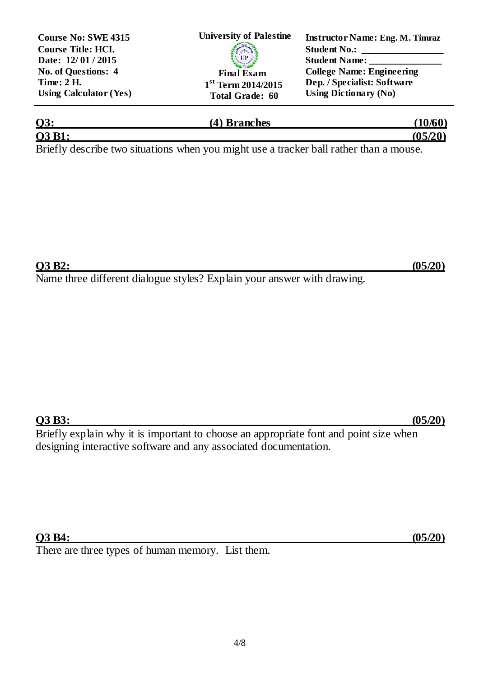| <b>Q3:</b>    | $\boldsymbol{\Lambda}$<br><b>Branches</b> |         |
|---------------|-------------------------------------------|---------|
| <b>Q3 B1:</b> |                                           | (05/20) |

Briefly describe two situations when you might use a tracker ball rather than a mouse.

# **Q3 B2: (05/20)**

Name three different dialogue styles? Explain your answer with drawing.

### **Q3 B3: (05/20)**

Briefly explain why it is important to choose an appropriate font and point size when designing interactive software and any associated documentation.

## **Q3 B4: (05/20)**

There are three types of human memory. List them.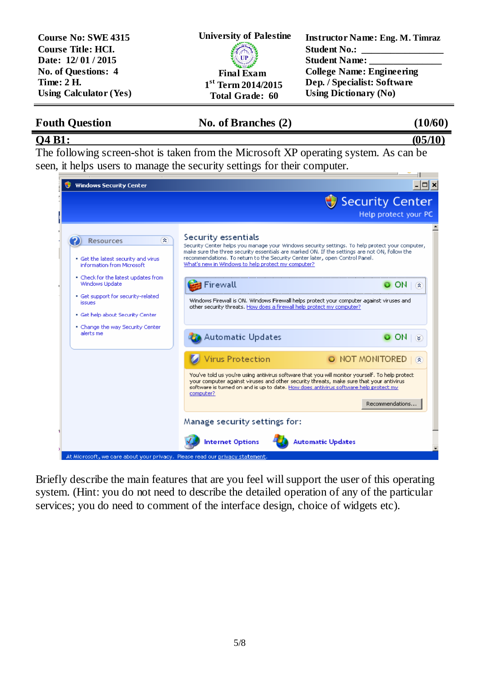| <b>Course No: SWE 4315</b>    | <b>University of Palestine</b> | <b>Instructor Name: Eng. M. Timraz</b> |
|-------------------------------|--------------------------------|----------------------------------------|
| <b>Course Title: HCI.</b>     | $45/10^{14}$                   | <b>Student No.:</b>                    |
| Date: 12/01/2015              | <b>SAMILY READY</b>            | <b>Student Name:</b>                   |
| No. of Questions: 4           | <b>Final Exam</b>              | <b>College Name: Engineering</b>       |
| Time: 2 H.                    | $1st$ Term 2014/2015           | Dep. / Specialist: Software            |
| <b>Using Calculator (Yes)</b> | <b>Total Grade: 60</b>         | Using Dictionary $(N0)$                |

**Fouth Question No. of Branches (2) (10/60)**

**Q4 B1: (05/10)**

The following screen-shot is taken from the Microsoft XP operating system. As can be seen, it helps users to manage the security settings for their computer.



Briefly describe the main features that are you feel will support the user of this operating system. (Hint: you do not need to describe the detailed operation of any of the particular services; you do need to comment of the interface design, choice of widgets etc).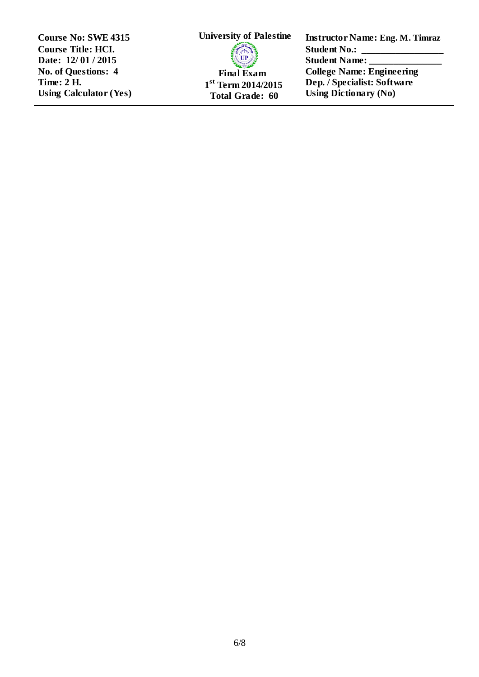**Course No: SWE 4315 Course Title: HCI. Date: 12/ 01 / 2015 No. of Questions: 4 Time: 2 H. Using Calculator (Yes)**



**Instructor Name: Eng. M. Timraz Student No.: Student Name: College Name: Engineering Dep. / Specialist: Software Using Dictionary (No)**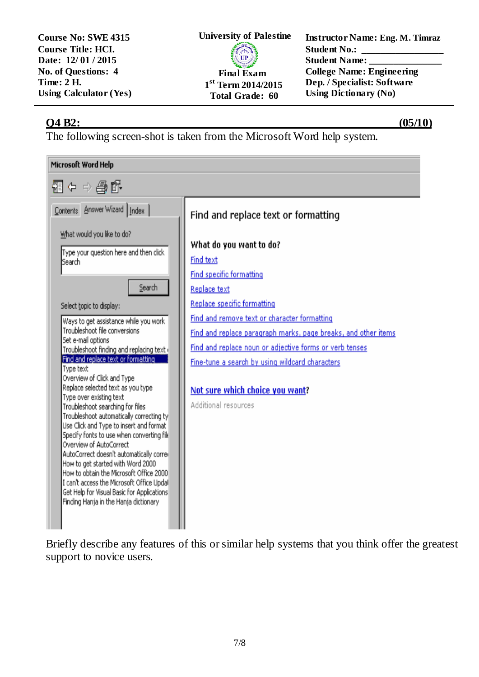**Course No: SWE 4315 Course Title: HCI. Date: 12/ 01 / 2015 No. of Questions: 4 Time: 2 H. Using Calculator (Yes)**



**Instructor Name: Eng. M. Timraz Student No.: Student Name: College Name: Engineering Dep. / Specialist: Software Using Dictionary (No)**

# **Q4 B2: (05/10)**

The following screen-shot is taken from the Microsoft Word help system.

| Microsoft Word Help                                                                                                                                                                                                                                                                                                                                                                                                                                                                                                                                                                                                                                                                                                                                                                                                                                                                  |                                                                                                                                                                                                                                                                                                                                                                                                                   |
|--------------------------------------------------------------------------------------------------------------------------------------------------------------------------------------------------------------------------------------------------------------------------------------------------------------------------------------------------------------------------------------------------------------------------------------------------------------------------------------------------------------------------------------------------------------------------------------------------------------------------------------------------------------------------------------------------------------------------------------------------------------------------------------------------------------------------------------------------------------------------------------|-------------------------------------------------------------------------------------------------------------------------------------------------------------------------------------------------------------------------------------------------------------------------------------------------------------------------------------------------------------------------------------------------------------------|
| 相々 ⇒ 骨酢                                                                                                                                                                                                                                                                                                                                                                                                                                                                                                                                                                                                                                                                                                                                                                                                                                                                              |                                                                                                                                                                                                                                                                                                                                                                                                                   |
| Contents Answer Wizard   Index                                                                                                                                                                                                                                                                                                                                                                                                                                                                                                                                                                                                                                                                                                                                                                                                                                                       | Find and replace text or formatting                                                                                                                                                                                                                                                                                                                                                                               |
| What would you like to do?<br>Type your question here and then click<br>Search<br>Search<br>Select topic to display:<br>Ways to get assistance while you work<br>Troubleshoot file conversions<br>Set e-mail options<br>Troubleshoot finding and replacing text<br>Find and replace text or formatting<br>Type text<br>Overview of Click and Type<br>Replace selected text as you type<br>Type over existing text<br>Troubleshoot searching for files<br>Troubleshoot automatically correcting ty<br>Use Click and Type to insert and format<br>Specify fonts to use when converting file<br>Overview of AutoCorrect<br>AutoCorrect doesn't automatically correi<br>How to get started with Word 2000<br>How to obtain the Microsoft Office 2000<br>I can't access the Microsoft Office Updal<br>Get Help for Visual Basic for Applications<br>Finding Hanja in the Hanja dictionary | What do you want to do?<br>Find text<br><b>Find specific formatting</b><br>Replace text<br>Replace specific formatting<br>Find and remove text or character formatting<br>Find and replace paragraph marks, page breaks, and other items<br>Find and replace noun or adjective forms or verb tenses<br>Fine-tune a search by using wildcard characters<br>Not sure which choice you want?<br>Additional resources |

Briefly describe any features of this or similar help systems that you think offer the greatest support to novice users.